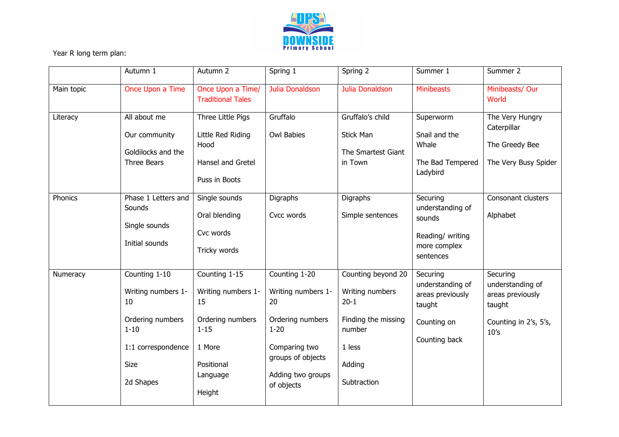

Year R long term plan:

|            | Autumn 1                                                                                                                    | Autumn 2                                                                                                                | Spring 1                                                                                                                                           | Spring 2                                                                                                              | Summer 1                                                                                   | Summer 2                                                                                    |
|------------|-----------------------------------------------------------------------------------------------------------------------------|-------------------------------------------------------------------------------------------------------------------------|----------------------------------------------------------------------------------------------------------------------------------------------------|-----------------------------------------------------------------------------------------------------------------------|--------------------------------------------------------------------------------------------|---------------------------------------------------------------------------------------------|
| Main topic | Once Upon a Time                                                                                                            | Once Upon a Time/<br><b>Traditional Tales</b>                                                                           | Julia Donaldson                                                                                                                                    | Julia Donaldson                                                                                                       | <b>Minibeasts</b>                                                                          | Minibeasts/ Our<br>World                                                                    |
| Literacy   | All about me<br>Our community<br>Goldilocks and the<br>Three Bears                                                          | Three Little Pigs<br>Little Red Riding<br>Hood<br>Hansel and Gretel<br>Puss in Boots                                    | Gruffalo<br><b>Owl Babies</b>                                                                                                                      | Gruffalo's child<br><b>Stick Man</b><br>The Smartest Giant<br>in Town                                                 | Superworm<br>Snail and the<br>Whale<br>The Bad Tempered<br>Ladybird                        | The Very Hungry<br>Caterpillar<br>The Greedy Bee<br>The Very Busy Spider                    |
| Phonics    | Phase 1 Letters and<br>Sounds<br>Single sounds<br>Initial sounds                                                            | Single sounds<br>Oral blending<br>Cvc words<br>Tricky words                                                             | <b>Digraphs</b><br>Cvcc words                                                                                                                      | Digraphs<br>Simple sentences                                                                                          | Securing<br>understanding of<br>sounds<br>Reading/ writing<br>more complex<br>sentences    | Consonant clusters<br>Alphabet                                                              |
| Numeracy   | Counting 1-10<br>Writing numbers 1-<br>10<br>Ordering numbers<br>$1 - 10$<br>1:1 correspondence<br><b>Size</b><br>2d Shapes | Counting 1-15<br>Writing numbers 1-<br>15<br>Ordering numbers<br>$1 - 15$<br>1 More<br>Positional<br>Language<br>Height | Counting 1-20<br>Writing numbers 1-<br>20<br>Ordering numbers<br>$1 - 20$<br>Comparing two<br>groups of objects<br>Adding two groups<br>of objects | Counting beyond 20<br>Writing numbers<br>$20 - 1$<br>Finding the missing<br>number<br>1 less<br>Adding<br>Subtraction | Securing<br>understanding of<br>areas previously<br>taught<br>Counting on<br>Counting back | Securing<br>understanding of<br>areas previously<br>taught<br>Counting in 2's, 5's,<br>10's |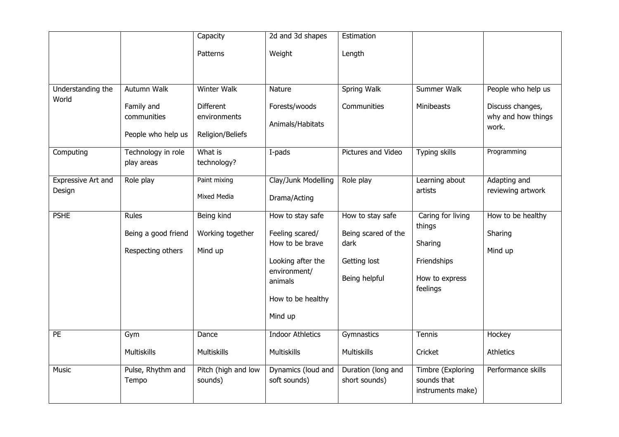|                              |                                                   | Capacity                                  | 2d and 3d shapes                                                                                                                       | Estimation                                                                       |                                                                                     |                                         |
|------------------------------|---------------------------------------------------|-------------------------------------------|----------------------------------------------------------------------------------------------------------------------------------------|----------------------------------------------------------------------------------|-------------------------------------------------------------------------------------|-----------------------------------------|
|                              |                                                   | Patterns                                  | Weight                                                                                                                                 | Length                                                                           |                                                                                     |                                         |
| Understanding the<br>World   | Autumn Walk<br>Family and                         | <b>Winter Walk</b><br><b>Different</b>    | Nature<br>Forests/woods                                                                                                                | <b>Spring Walk</b><br>Communities                                                | Summer Walk<br>Minibeasts                                                           | People who help us<br>Discuss changes,  |
|                              | communities<br>People who help us                 | environments<br>Religion/Beliefs          | Animals/Habitats                                                                                                                       |                                                                                  |                                                                                     | why and how things<br>work.             |
| Computing                    | Technology in role<br>play areas                  | What is<br>technology?                    | I-pads                                                                                                                                 | Pictures and Video                                                               | <b>Typing skills</b>                                                                | Programming                             |
| Expressive Art and<br>Design | Role play                                         | Paint mixing<br>Mixed Media               | Clay/Junk Modelling<br>Drama/Acting                                                                                                    | Role play                                                                        | Learning about<br>artists                                                           | Adapting and<br>reviewing artwork       |
| <b>PSHE</b>                  | Rules<br>Being a good friend<br>Respecting others | Being kind<br>Working together<br>Mind up | How to stay safe<br>Feeling scared/<br>How to be brave<br>Looking after the<br>environment/<br>animals<br>How to be healthy<br>Mind up | How to stay safe<br>Being scared of the<br>dark<br>Getting lost<br>Being helpful | Caring for living<br>things<br>Sharing<br>Friendships<br>How to express<br>feelings | How to be healthy<br>Sharing<br>Mind up |
| PE                           | Gym<br><b>Multiskills</b>                         | Dance<br>Multiskills                      | <b>Indoor Athletics</b><br><b>Multiskills</b>                                                                                          | Gymnastics<br><b>Multiskills</b>                                                 | Tennis<br>Cricket                                                                   | Hockey<br><b>Athletics</b>              |
| Music                        | Pulse, Rhythm and<br>Tempo                        | Pitch (high and low<br>sounds)            | Dynamics (loud and<br>soft sounds)                                                                                                     | Duration (long and<br>short sounds)                                              | Timbre (Exploring<br>sounds that<br>instruments make)                               | Performance skills                      |